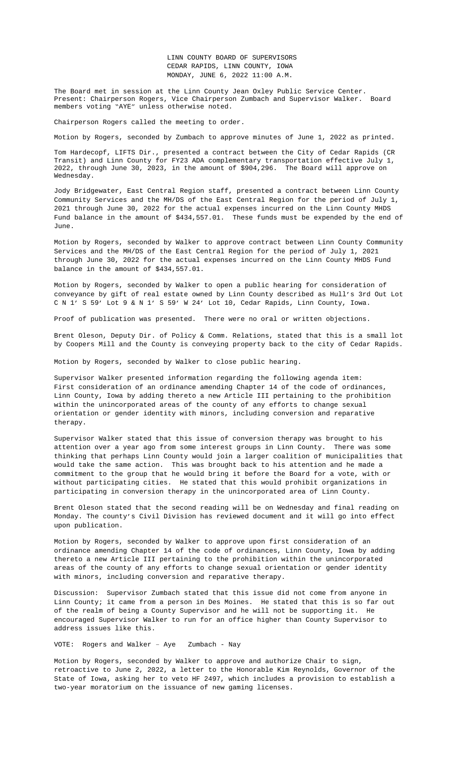Transity and Linux county for FII and  $\cdots$   $\cdots$   $\cdots$   $\cdots$   $\cdots$   $\cdots$   $\cdots$   $\cdots$   $\cdots$   $\cdots$   $\cdots$   $\cdots$ 2022, through June 30, 2023, in the amount of \$904,296. The Board will approve on Wednesday.

Jody Bridgewater, East Central Region staff, presented a contract between Linn County Community Services and the MH/DS of the East Central Region for the period of July 1, 2021 through June 30, 2022 for the actual expenses incurred on the Linn County MHDS Fund balance in the amount of \$434,557.01. These funds must be expended by the end of June.

Motion by Rogers, seconded by Walker to approve contract between Linn County Community Services and the MH/DS of the East Central Region for the period of July 1, 2021 through June 30, 2022 for the actual expenses incurred on the Linn County MHDS Fund balance in the amount of \$434,557.01.

Motion by Rogers, seconded by Walker to open a public hearing for consideration of conveyance by gift of real estate owned by Linn County described as Hull's 3rd Out Lot C N 1' S 59' Lot 9 & N 1' S 59' W 24' Lot 10, Cedar Rapids, Linn County, Iowa.

Proof of publication was presented. There were no oral or w[ritten objections.](Documents/6-6%20&%206-8%20LIFTS%20FY23%20Contract.pdf)

Brent Oleson, Deputy Dir. of Policy & Comm. Relations, stated that this is a small lot by Coopers Mill and the County is conveying property back to the city of Cedar Rapids.

Motion by Rogers, seco[nded by Walker to close public](Documents/6-6%20MHDS%20Revised%20Contract.pdf) hearing.

Supervisor Walker presented information regarding the following agenda item: First consideration of an ordinance amending Chapter 14 of the code of ordinances, Linn County, Iowa by adding thereto a new Article III pertaining to the prohibition within the unincorporated areas of the county of any efforts to change sexual orientation [or gender identity with minors,](Documents/6-6%20MHDS%20Revised%20Contract.pdf) including conversion and reparative therapy.

Supervisor Walker stated that this issue of conversion therapy was brought to his attention over a year ago from some interest groups in Linn County. There was some thinking that perhaps Linn County would join a larger coalition of municipalities that would take the same action. This was brought back to his attention and he made a commitment to the group that he would bring it before the Board for a vote, with or without participating cities. He stated that this would prohibit organizations in participating in conversion therapy in the unincorporated area of Linn County.

Brent Oleson stated that the second reading will be on Wednesday and final reading on Monday. The county's Civil Division has reviewed document and it will go into effect upon publication.

Motion by Rogers, seconded by Walker to approve upon first consideration of an ordinance amending Chapter 14 of the code of [ordinances, Linn County, Iowa by addin](Documents/6-6,%206-8,%206-13%20LC%20ORDINANCE%20on%20Conversion%20Therapy.pdf)g thereto a new Article III pertaining to the prohibition within the unincorporated areas of the county of any efforts to change sexual orientation or gender identity with minors, including conversion and reparative therapy.

Discussion: Supervisor Zumbach stated that this issue did not come from anyone in Linn County; it came from a person in Des Moines. He stated that this is so far out of the realm of being a County Supervisor and he will not be supporting it. He encouraged Supervisor Walker to run for an office higher than County Supervisor to address issues like this.

VOTE: Rogers and Walker – Aye Zumbach - Nay

Motion by Rogers, seconded by Walker to approve and authorize Chair to sign, retroactive to June 2, 2022, a letter to the Honorable Kim Reynolds, Governor of the State of Iowa, asking her to veto HF 2497, which includes a provision to establish a two-year moratorium on the issuance of new gaming licenses.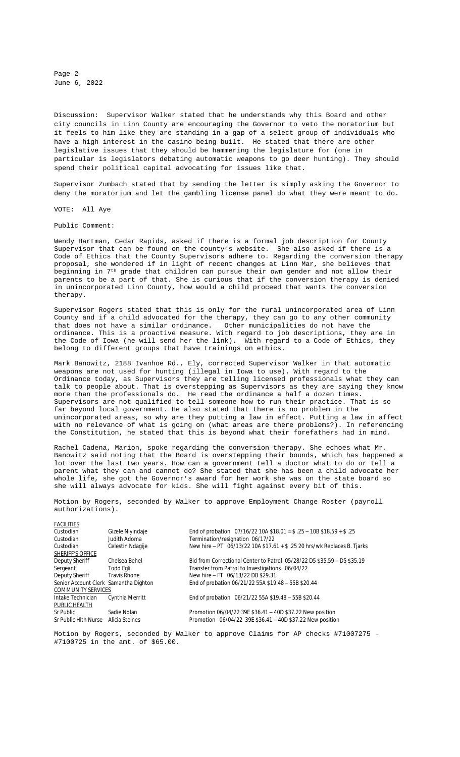Page 2 June 6, 2022

Discussion: Supervisor Walker stated that he understands why this Board and other city councils in Linn County are encouraging the Governor to veto the moratorium but it feels to him like they are standing in a gap of a select group of individuals who have a high interest in the casino being built. He stated that there are other legislative issues that they should be hammering the legislature for (one in particular is legislators debating automatic weapons to go deer hunting). They should spend their political capital advocating for issues like that.

Supervisor Zumbach stated that by sending the letter is simply asking the Governor to deny the moratorium and let the gambling license panel do what they were meant to do.

VOTE: All Aye

Public Comment:

Wendy Hartman, Cedar Rapids, asked if there is a formal job description for County Supervisor that can be found on the county's website. She also asked if there is a Code of Ethics that the County Supervisors adhere to. Regarding the conversion therapy proposal, she wondered if in light of recent changes at Linn Mar, she believes that beginning in 7th grade that children can pursue their own gender and not allow their parents to be a part of that. She is curious that if the conversion therapy is denied in unincorporated Linn County, how would a child proceed that wants the conversion therapy.

Supervisor Rogers stated that this is only for the rural unincorporated area of Linn County and if a child advocated for the therapy, they can go to any other community that does not have a similar ordinance. Other municipalities do not have the ordinance. This is a proactive measure. With regard to job descriptions, they are in the Code of Iowa (he will send her the link). With regard to a Code of Ethics, they belong to different groups that have trainings on ethics.

Mark Banowitz, 2188 Ivanhoe Rd., Ely, corrected Supervisor Walker in that automatic weapons are not used for hunting (illegal in Iowa to use). With regard to the Ordinance today, as Supervisors they are telling licensed professionals what they can talk to people about. That is overstepping as Supervisors as they are saying they know more than the professionals do. He read the ordinance a half a dozen times. Supervisors are not qualified to tell someone how to run their practice. That is so far beyond local government. He also stated that there is no problem in the unincorporated areas, so why are they putting a law in effect. Putting a law in affect with no relevance of what is going on (what areas are there problems?). In referencing the Constitution, he stated that this is beyond what their forefathers had in mind.

Rachel Cadena, Marion, spoke regarding the conversion therapy. She echoes what Mr. Banowitz said noting that the Board is overstepping their bounds, which has happened a lot over the last two years. How can a government tell a doctor what to do or tell a parent what they can and cannot do? She stated that she has been a child advocate her whole life, she got the Governor's award for her work she was on the state board so she will always advocate for kids. She will fight against every bit of this.

Motion by Rogers, seconded by Walker to approve Employment Change Roster (payroll authorizations).

| FACILITIES                            |                     |                                                                         |
|---------------------------------------|---------------------|-------------------------------------------------------------------------|
| Custodian                             | Gizele Niyindaje    | End of probation $07/16/22$ 10A \$18.01 = \$.25 - 10B \$18.59 + \$.25   |
| Custodian                             | Judith Adoma        | Termination/resignation 06/17/22                                        |
| Custodian                             | Celestin Ndagije    | New hire - PT 06/13/22 10A \$17.61 + \$.25 20 hrs/wk Replaces B. Tjarks |
| <b>SHERIFF'S OFFICE</b>               |                     |                                                                         |
| Deputy Sheriff                        | Chelsea Behel       | Bid from Correctional Center to Patrol 05/28/22 D5 \$35.59 - D5 \$35.19 |
| Sergeant                              | Todd Egli           | Transfer from Patrol to Investigations 06/04/22                         |
| Deputy Sheriff                        | <b>Travis Rhone</b> | New hire - FT 06/13/22 DB \$29.31                                       |
| Senior Account Clerk Samantha Dighton |                     | End of probation 06/21/22 55A \$19.48 - 55B \$20.44                     |
| COMMUNITY SERVICES                    |                     |                                                                         |
| Intake Technician                     | Cynthia Merritt     | End of probation 06/21/22 55A \$19.48 - 55B \$20.44                     |
| PUBLIC HEALTH                         |                     |                                                                         |
| Sr Public                             | Sadie Nolan         | Promotion 06/04/22 39E \$36.41 - 40D \$37.22 New position               |
| Sr Public Hlth Nurse                  | Alicia Steines      | Promotion 06/04/22 39E \$36.41 - 40D \$37.22 New position               |
|                                       |                     |                                                                         |

Motion by Rogers, seconded by Walker to approve Claims for AP checks #71007275 - #7100725 in the amt. of \$65.00.